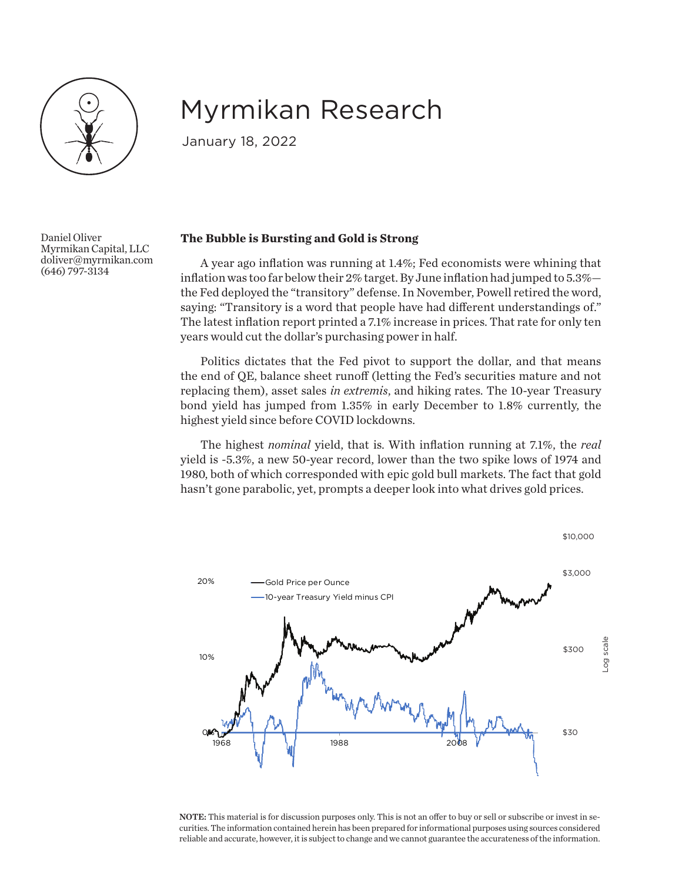

## Myrmikan Research

January 18, 2022

Daniel Oliver Myrmikan Capital, LLC doliver@myrmikan.com (646) 797-3134

## **The Bubble is Bursting and Gold is Strong**

A year ago inflation was running at 1.4%; Fed economists were whining that inflation was too far below their 2% target. By June inflation had jumped to 5.3% the Fed deployed the "transitory" defense. In November, Powell retired the word, saying: "Transitory is a word that people have had different understandings of." The latest inflation report printed a 7.1% increase in prices. That rate for only ten years would cut the dollar's purchasing power in half.

Politics dictates that the Fed pivot to support the dollar, and that means the end of QE, balance sheet runoff (letting the Fed's securities mature and not replacing them), asset sales *in extremis*, and hiking rates. The 10-year Treasury bond yield has jumped from 1.35% in early December to 1.8% currently, the highest yield since before COVID lockdowns.

The highest *nominal* yield, that is. With inflation running at 7.1%, the *real* yield is -5.3%, a new 50-year record, lower than the two spike lows of 1974 and 1980, both of which corresponded with epic gold bull markets. The fact that gold hasn't gone parabolic, yet, prompts a deeper look into what drives gold prices.



NOTE: This material is for discussion purposes only. This is not an offer to buy or sell or subscribe or invest in securities. The information contained herein has been prepared for informational purposes using sources considered reliable and accurate, however, it is subject to change and we cannot guarantee the accurateness of the information.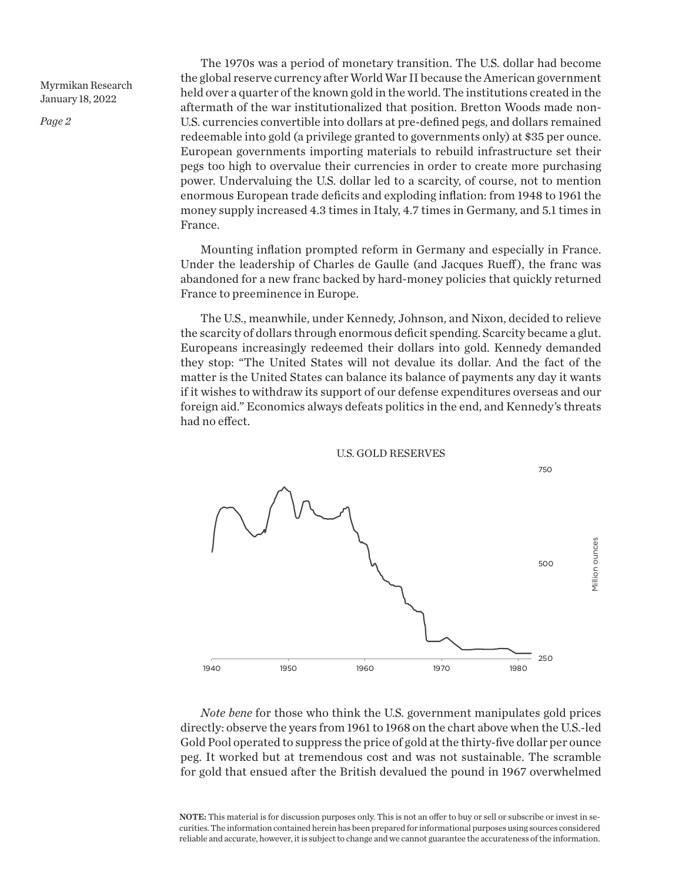*Page 2*

The 1970s was a period of monetary transition. The U.S. dollar had become the global reserve currency after World War II because the American government held over a quarter of the known gold in the world. The institutions created in the aftermath of the war institutionalized that position. Bretton Woods made non-U.S. currencies convertible into dollars at pre-defined pegs, and dollars remained redeemable into gold (a privilege granted to governments only) at \$35 per ounce. European governments importing materials to rebuild infrastructure set their pegs too high to overvalue their currencies in order to create more purchasing power. Undervaluing the U.S. dollar led to a scarcity, of course, not to mention enormous European trade deficits and exploding inflation: from 1948 to 1961 the money supply increased 4.3 times in Italy, 4.7 times in Germany, and 5.1 times in France.

Mounting inflation prompted reform in Germany and especially in France. Under the leadership of Charles de Gaulle (and Jacques Rueff), the franc was abandoned for a new franc backed by hard-money policies that quickly returned France to preeminence in Europe.

The U.S., meanwhile, under Kennedy, Johnson, and Nixon, decided to relieve the scarcity of dollars through enormous deficit spending. Scarcity became a glut. Europeans increasingly redeemed their dollars into gold. Kennedy demanded they stop: "The United States will not devalue its dollar. And the fact of the matter is the United States can balance its balance of payments any day it wants if it wishes to withdraw its support of our defense expenditures overseas and our foreign aid." Economics always defeats politics in the end, and Kennedy's threats had no effect.



*Note bene* for those who think the U.S. government manipulates gold prices directly: observe the years from 1961 to 1968 on the chart above when the U.S.-led Gold Pool operated to suppress the price of gold at the thirty-five dollar per ounce peg. It worked but at tremendous cost and was not sustainable. The scramble for gold that ensued after the British devalued the pound in 1967 overwhelmed

NOTE: This material is for discussion purposes only. This is not an offer to buy or sell or subscribe or invest in securities. The information contained herein has been prepared for informational purposes using sources considered reliable and accurate, however, it is subject to change and we cannot guarantee the accurateness of the information.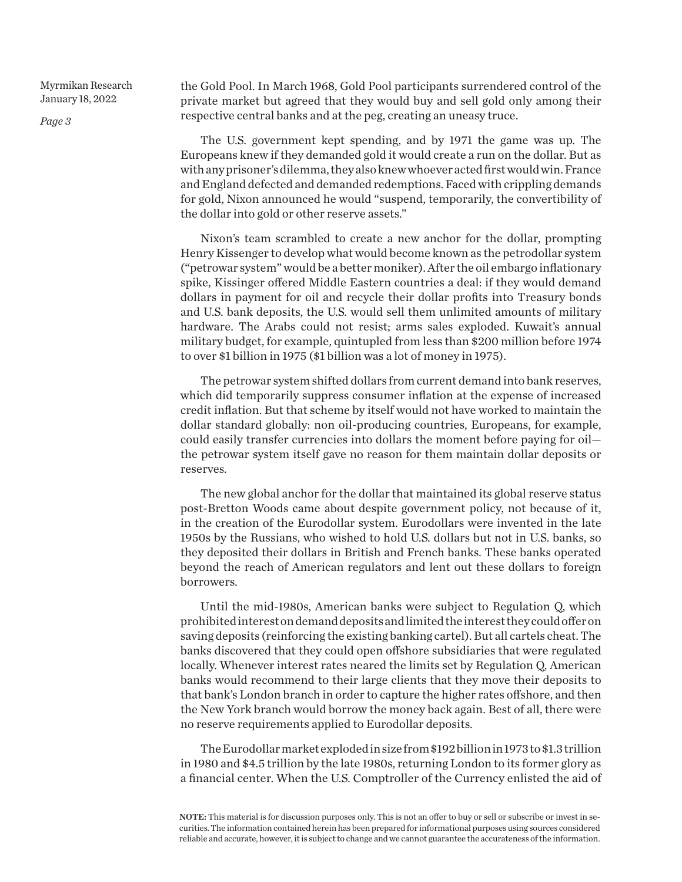*Page 3*

the Gold Pool. In March 1968, Gold Pool participants surrendered control of the private market but agreed that they would buy and sell gold only among their respective central banks and at the peg, creating an uneasy truce.

The U.S. government kept spending, and by 1971 the game was up. The Europeans knew if they demanded gold it would create a run on the dollar. But as with any prisoner's dilemma, they also knew whoever acted first would win. France and England defected and demanded redemptions. Faced with crippling demands for gold, Nixon announced he would "suspend, temporarily, the convertibility of the dollar into gold or other reserve assets."

Nixon's team scrambled to create a new anchor for the dollar, prompting Henry Kissenger to develop what would become known as the petrodollar system ("petrowar system" would be a better moniker). After the oil embargo inflationary spike, Kissinger offered Middle Eastern countries a deal: if they would demand dollars in payment for oil and recycle their dollar profits into Treasury bonds and U.S. bank deposits, the U.S. would sell them unlimited amounts of military hardware. The Arabs could not resist; arms sales exploded. Kuwait's annual military budget, for example, quintupled from less than \$200 million before 1974 to over \$1 billion in 1975 (\$1 billion was a lot of money in 1975).

The petrowar system shifted dollars from current demand into bank reserves, which did temporarily suppress consumer inflation at the expense of increased credit inflation. But that scheme by itself would not have worked to maintain the dollar standard globally: non oil-producing countries, Europeans, for example, could easily transfer currencies into dollars the moment before paying for oil the petrowar system itself gave no reason for them maintain dollar deposits or reserves.

The new global anchor for the dollar that maintained its global reserve status post-Bretton Woods came about despite government policy, not because of it, in the creation of the Eurodollar system. Eurodollars were invented in the late 1950s by the Russians, who wished to hold U.S. dollars but not in U.S. banks, so they deposited their dollars in British and French banks. These banks operated beyond the reach of American regulators and lent out these dollars to foreign borrowers.

Until the mid-1980s, American banks were subject to Regulation Q, which prohibited interest on demand deposits and limited the interest they could offer on saving deposits (reinforcing the existing banking cartel). But all cartels cheat. The banks discovered that they could open offshore subsidiaries that were regulated locally. Whenever interest rates neared the limits set by Regulation Q, American banks would recommend to their large clients that they move their deposits to that bank's London branch in order to capture the higher rates offshore, and then the New York branch would borrow the money back again. Best of all, there were no reserve requirements applied to Eurodollar deposits.

The Eurodollar market exploded in size from \$192 billion in 1973 to \$1.3 trillion in 1980 and \$4.5 trillion by the late 1980s, returning London to its former glory as a financial center. When the U.S. Comptroller of the Currency enlisted the aid of

NOTE: This material is for discussion purposes only. This is not an offer to buy or sell or subscribe or invest in securities. The information contained herein has been prepared for informational purposes using sources considered reliable and accurate, however, it is subject to change and we cannot guarantee the accurateness of the information.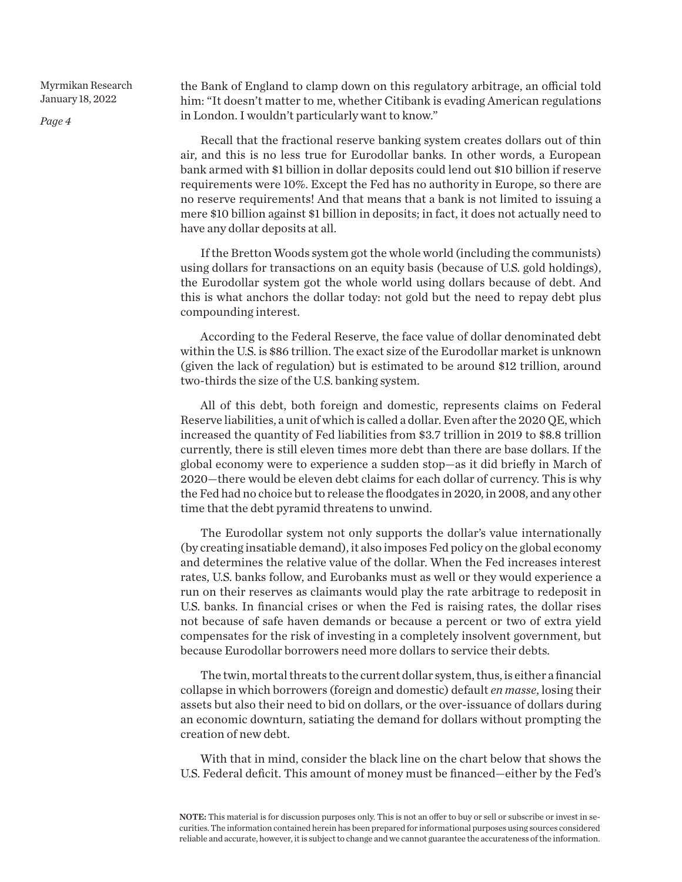*Page 4*

the Bank of England to clamp down on this regulatory arbitrage, an official told him: "It doesn't matter to me, whether Citibank is evading American regulations in London. I wouldn't particularly want to know."

Recall that the fractional reserve banking system creates dollars out of thin air, and this is no less true for Eurodollar banks. In other words, a European bank armed with \$1 billion in dollar deposits could lend out \$10 billion if reserve requirements were 10%. Except the Fed has no authority in Europe, so there are no reserve requirements! And that means that a bank is not limited to issuing a mere \$10 billion against \$1 billion in deposits; in fact, it does not actually need to have any dollar deposits at all.

If the Bretton Woods system got the whole world (including the communists) using dollars for transactions on an equity basis (because of U.S. gold holdings), the Eurodollar system got the whole world using dollars because of debt. And this is what anchors the dollar today: not gold but the need to repay debt plus compounding interest.

According to the Federal Reserve, the face value of dollar denominated debt within the U.S. is \$86 trillion. The exact size of the Eurodollar market is unknown (given the lack of regulation) but is estimated to be around \$12 trillion, around two-thirds the size of the U.S. banking system.

All of this debt, both foreign and domestic, represents claims on Federal Reserve liabilities, a unit of which is called a dollar. Even after the 2020 QE, which increased the quantity of Fed liabilities from \$3.7 trillion in 2019 to \$8.8 trillion currently, there is still eleven times more debt than there are base dollars. If the global economy were to experience a sudden stop—as it did briefly in March of 2020—there would be eleven debt claims for each dollar of currency. This is why the Fed had no choice but to release the floodgates in 2020, in 2008, and any other time that the debt pyramid threatens to unwind.

The Eurodollar system not only supports the dollar's value internationally (by creating insatiable demand), it also imposes Fed policy on the global economy and determines the relative value of the dollar. When the Fed increases interest rates, U.S. banks follow, and Eurobanks must as well or they would experience a run on their reserves as claimants would play the rate arbitrage to redeposit in U.S. banks. In financial crises or when the Fed is raising rates, the dollar rises not because of safe haven demands or because a percent or two of extra yield compensates for the risk of investing in a completely insolvent government, but because Eurodollar borrowers need more dollars to service their debts.

The twin, mortal threats to the current dollar system, thus, is either a financial collapse in which borrowers (foreign and domestic) default *en masse*, losing their assets but also their need to bid on dollars, or the over-issuance of dollars during an economic downturn, satiating the demand for dollars without prompting the creation of new debt.

With that in mind, consider the black line on the chart below that shows the U.S. Federal deficit. This amount of money must be financed—either by the Fed's

NOTE: This material is for discussion purposes only. This is not an offer to buy or sell or subscribe or invest in securities. The information contained herein has been prepared for informational purposes using sources considered reliable and accurate, however, it is subject to change and we cannot guarantee the accurateness of the information.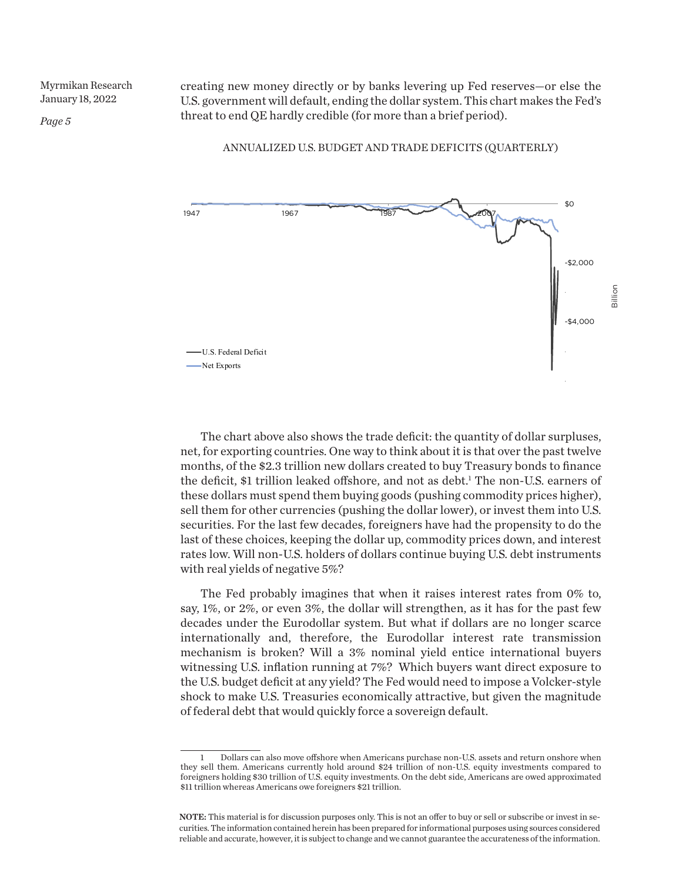*Page 5*

creating new money directly or by banks levering up Fed reserves—or else the U.S. government will default, ending the dollar system. This chart makes the Fed's threat to end QE hardly credible (for more than a brief period).

ANNUALIZED U.S. BUDGET AND TRADE DEFICITS (QUARTERLY)



The chart above also shows the trade deficit: the quantity of dollar surpluses, net, for exporting countries. One way to think about it is that over the past twelve months, of the \$2.3 trillion new dollars created to buy Treasury bonds to finance the deficit, \$1 trillion leaked offshore, and not as debt.<sup>1</sup> The non-U.S. earners of these dollars must spend them buying goods (pushing commodity prices higher), sell them for other currencies (pushing the dollar lower), or invest them into U.S. securities. For the last few decades, foreigners have had the propensity to do the last of these choices, keeping the dollar up, commodity prices down, and interest rates low. Will non-U.S. holders of dollars continue buying U.S. debt instruments with real yields of negative 5%?

The Fed probably imagines that when it raises interest rates from 0% to, say, 1%, or 2%, or even 3%, the dollar will strengthen, as it has for the past few decades under the Eurodollar system. But what if dollars are no longer scarce internationally and, therefore, the Eurodollar interest rate transmission mechanism is broken? Will a 3% nominal yield entice international buyers witnessing U.S. inflation running at 7%? Which buyers want direct exposure to the U.S. budget deficit at any yield? The Fed would need to impose a Volcker-style shock to make U.S. Treasuries economically attractive, but given the magnitude of federal debt that would quickly force a sovereign default.

<sup>1</sup> Dollars can also move offshore when Americans purchase non-U.S. assets and return onshore when they sell them. Americans currently hold around \$24 trillion of non-U.S. equity investments compared to foreigners holding \$30 trillion of U.S. equity investments. On the debt side, Americans are owed approximated \$11 trillion whereas Americans owe foreigners \$21 trillion.

NOTE: This material is for discussion purposes only. This is not an offer to buy or sell or subscribe or invest in securities. The information contained herein has been prepared for informational purposes using sources considered reliable and accurate, however, it is subject to change and we cannot guarantee the accurateness of the information.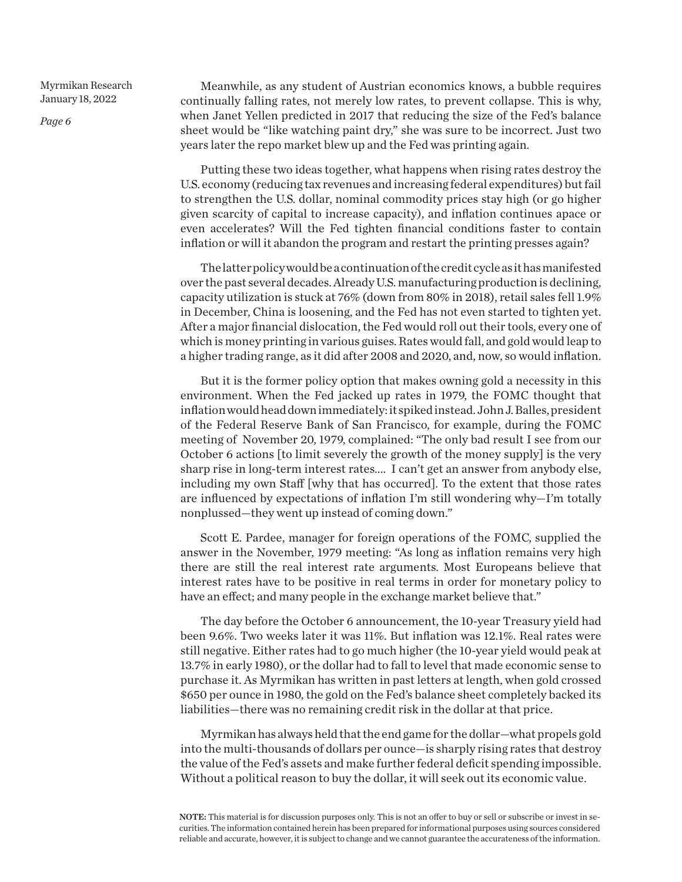*Page 6*

Meanwhile, as any student of Austrian economics knows, a bubble requires continually falling rates, not merely low rates, to prevent collapse. This is why, when Janet Yellen predicted in 2017 that reducing the size of the Fed's balance sheet would be "like watching paint dry," she was sure to be incorrect. Just two years later the repo market blew up and the Fed was printing again.

Putting these two ideas together, what happens when rising rates destroy the U.S. economy (reducing tax revenues and increasing federal expenditures) but fail to strengthen the U.S. dollar, nominal commodity prices stay high (or go higher given scarcity of capital to increase capacity), and inflation continues apace or even accelerates? Will the Fed tighten financial conditions faster to contain inflation or will it abandon the program and restart the printing presses again?

The latter policy would be a continuation of the credit cycle as it has manifested over the past several decades. Already U.S. manufacturing production is declining, capacity utilization is stuck at 76% (down from 80% in 2018), retail sales fell 1.9% in December, China is loosening, and the Fed has not even started to tighten yet. After a major financial dislocation, the Fed would roll out their tools, every one of which is money printing in various guises. Rates would fall, and gold would leap to a higher trading range, as it did after 2008 and 2020, and, now, so would inflation.

But it is the former policy option that makes owning gold a necessity in this environment. When the Fed jacked up rates in 1979, the FOMC thought that inflation would head down immediately: it spiked instead. John J. Balles, president of the Federal Reserve Bank of San Francisco, for example, during the FOMC meeting of November 20, 1979, complained: "The only bad result I see from our October 6 actions [to limit severely the growth of the money supply] is the very sharp rise in long-term interest rates.... I can't get an answer from anybody else, including my own Staff [why that has occurred]. To the extent that those rates are influenced by expectations of inflation I'm still wondering why—I'm totally nonplussed—they went up instead of coming down."

Scott E. Pardee, manager for foreign operations of the FOMC, supplied the answer in the November, 1979 meeting: "As long as inflation remains very high there are still the real interest rate arguments. Most Europeans believe that interest rates have to be positive in real terms in order for monetary policy to have an effect; and many people in the exchange market believe that."

The day before the October 6 announcement, the 10-year Treasury yield had been 9.6%. Two weeks later it was 11%. But inflation was 12.1%. Real rates were still negative. Either rates had to go much higher (the 10-year yield would peak at 13.7% in early 1980), or the dollar had to fall to level that made economic sense to purchase it. As Myrmikan has written in past letters at length, when gold crossed \$650 per ounce in 1980, the gold on the Fed's balance sheet completely backed its liabilities—there was no remaining credit risk in the dollar at that price.

Myrmikan has always held that the end game for the dollar—what propels gold into the multi-thousands of dollars per ounce—is sharply rising rates that destroy the value of the Fed's assets and make further federal deficit spending impossible. Without a political reason to buy the dollar, it will seek out its economic value.

NOTE: This material is for discussion purposes only. This is not an offer to buy or sell or subscribe or invest in securities. The information contained herein has been prepared for informational purposes using sources considered reliable and accurate, however, it is subject to change and we cannot guarantee the accurateness of the information.